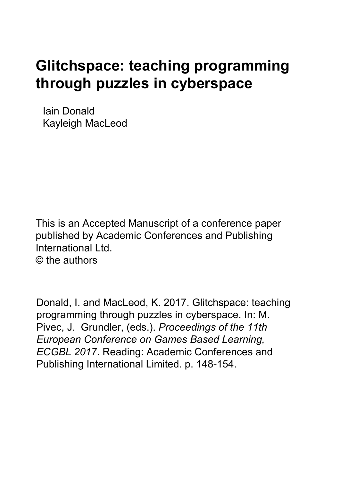# **Glitchspace: teaching programming through puzzles in cyberspace**

Iain Donald Kayleigh MacLeod

This is an Accepted Manuscript of a conference paper published by Academic Conferences and Publishing International Ltd. © the authors

Donald, I. and MacLeod, K. 2017. Glitchspace: teaching programming through puzzles in cyberspace. In: M. Pivec, J. Grundler, (eds.). *Proceedings of the 11th European Conference on Games Based Learning, ECGBL 2017*. Reading: Academic Conferences and Publishing International Limited. p. 148-154.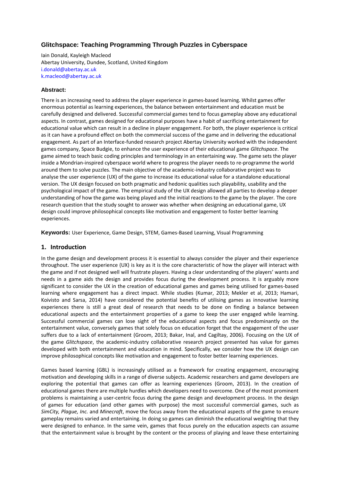## **Glitchspace: Teaching Programming Through Puzzles in Cyberspace**

Iain Donald, Kayleigh Macleod Abertay University, Dundee, Scotland, United Kingdom i.donald@abertay.ac.uk k.macleod@abertay.ac.uk

#### **Abstract:**

There is an increasing need to address the player experience in games-based learning. Whilst games offer enormous potential as learning experiences, the balance between entertainment and education must be carefully designed and delivered. Successful commercial games tend to focus gameplay above any educational aspects. In contrast, games designed for educational purposes have a habit of sacrificing entertainment for educational value which can result in a decline in player engagement. For both, the player experience is critical as it can have a profound effect on both the commercial success of the game and in delivering the educational engagement. As part of an Interface-funded research project Abertay University worked with the independent games company, Space Budgie, to enhance the user experience of their educational game *Glitchspace*. The game aimed to teach basic coding principles and terminology in an entertaining way. The game sets the player inside a Mondrian-inspired cyberspace world where to progress the player needs to re-programme the world around them to solve puzzles. The main objective of the academic-industry collaborative project was to analyse the user experience (UX) of the game to increase its educational value for a standalone educational version. The UX design focused on both pragmatic and hedonic qualities such playability, usability and the psychological impact of the game. The empirical study of the UX design allowed all parties to develop a deeper understanding of how the game was being played and the initial reactions to the game by the player. The core research question that the study sought to answer was whether when designing an educational game, UX design could improve philosophical concepts like motivation and engagement to foster better learning experiences.

**Keywords:** User Experience, Game Design, STEM, Games-Based Learning, Visual Programming

#### **1. Introduction**

In the game design and development process it is essential to always consider the player and their experience throughout. The user experience (UX) is key as it is the core characteristic of how the player will interact with the game and if not designed well will frustrate players. Having a clear understanding of the players' wants and needs in a game aids the design and provides focus during the development process. It is arguably more significant to consider the UX in the creation of educational games and games being utilised for games-based learning where engagement has a direct impact. While studies (Kumar, 2013; Mekler et al, 2013; Hamari, Koivisto and Sarsa, 2014) have considered the potential benefits of utilising games as innovative learning experiences there is still a great deal of research that needs to be done on finding a balance between educational aspects and the entertainment properties of a game to keep the user engaged while learning. Successful commercial games can lose sight of the educational aspects and focus predominantly on the entertainment value, conversely games that solely focus on education forget that the engagement of the user suffers due to a lack of entertainment (Groom, 2013; Bakar, Inal, and Cagiltay, 2006). Focusing on the UX of the game *Glitchspace*, the academic-industry collaborative research project presented has value for games developed with both entertainment and education in mind. Specifically, we consider how the UX design can improve philosophical concepts like motivation and engagement to foster better learning experiences.

Games based learning (GBL) is increasingly utilised as a framework for creating engagement, encouraging motivation and developing skills in a range of diverse subjects. Academic researchers and game developers are exploring the potential that games can offer as learning experiences (Groom, 2013). In the creation of educational games there are multiple hurdles which developers need to overcome. One of the most prominent problems is maintaining a user-centric focus during the game design and development process. In the design of games for education (and other games with purpose) the most successful commercial games, such as *SimCity, Plague, Inc.* and *Minecraft*, move the focus away from the educational aspects of the game to ensure gameplay remains varied and entertaining. In doing so games can diminish the educational weighting that they were designed to enhance. In the same vein, games that focus purely on the education aspects can assume that the entertainment value is brought by the content or the process of playing and leave these entertaining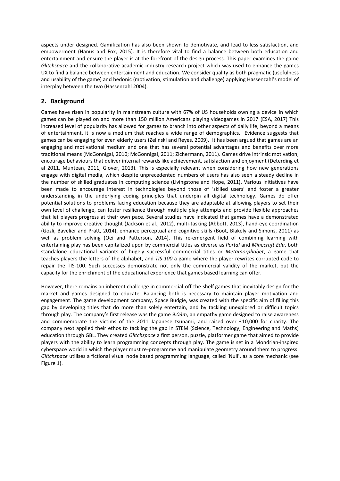aspects under designed. Gamification has also been shown to demotivate, and lead to less satisfaction, and empowerment (Hanus and Fox, 2015). It is therefore vital to find a balance between both education and entertainment and ensure the player is at the forefront of the design process. This paper examines the game *Glitchspace* and the collaborative academic-industry research project which was used to enhance the games UX to find a balance between entertainment and education. We consider quality as both pragmatic (usefulness and usability of the game) and hedonic (motivation, stimulation and challenge) applying Hassenzahl's model of interplay between the two (Hassenzahl 2004).

## **2. Background**

Games have risen in popularity in mainstream culture with 67% of US households owning a device in which games can be played on and more than 150 million Americans playing videogames in 2017 (ESA, 2017) This increased level of popularity has allowed for games to branch into other aspects of daily life, beyond a means of entertainment, it is now a medium that reaches a wide range of demographics. Evidence suggests that games can be engaging for even elderly users (Zelinski and Reyes, 2009). It has been argued that games are an engaging and motivational medium and one that has several potential advantages and benefits over more traditional means (McGonnigal, 2010; McGonnigal, 2011; Zichermann, 2011). Games drive intrinsic motivation, encourage behaviours that deliver internal rewards like achievement, satisfaction and enjoyment (Deterding et al 2011, Muntean, 2011, Glover, 2013). This is especially relevant when considering how new generations engage with digital media, which despite unprecedented numbers of users has also seen a steady decline in the number of skilled graduates in computing science (Livingstone and Hope, 2011). Various initiatives have been made to encourage interest in technologies beyond those of 'skilled users' and foster a greater understanding in the underlying coding principles that underpin all digital technology. Games do offer potential solutions to problems facing education because they are adaptable at allowing players to set their own level of challenge, can foster resilience through multiple play attempts and provide flexible approaches that let players progress at their own pace. Several studies have indicated that games have a demonstrated ability to improve creative thought (Jackson et al., 2012), multi-tasking (Abbott, 2013), hand-eye coordination (Gozli, Bavelier and Pratt, 2014), enhance perceptual and cognitive skills (Boot, Blakely and Simons, 2011) as well as problem solving (Oei and Patterson, 2014). This re-emergent field of combining learning with entertaining play has been capitalized upon by commercial titles as diverse as *Portal* and *Minecraft Edu*, both standalone educational variants of hugely successful commercial titles or *Metamorphabet*, a game that teaches players the letters of the alphabet, and *TIS-100* a game where the player rewrites corrupted code to repair the TIS-100. Such successes demonstrate not only the commercial validity of the market, but the capacity for the enrichment of the educational experience that games based learning can offer.

However, there remains an inherent challenge in commercial-off-the-shelf games that inevitably design for the market and games designed to educate. Balancing both is necessary to maintain player motivation and engagement. The game development company, Space Budgie, was created with the specific aim of filling this gap by developing titles that do more than solely entertain, and by tackling unexplored or difficult topics through play. The company's first release was the game *9.03m*, an empathy game designed to raise awareness and commemorate the victims of the 2011 Japanese tsunami, and raised over £10,000 for charity. The company next applied their ethos to tackling the gap in STEM (Science, Technology, Engineering and Maths) education through GBL. They created *Glitchspace* a first person, puzzle, platformer game that aimed to provide players with the ability to learn programming concepts through play. The game is set in a Mondrian-inspired cyberspace world in which the player must re-programme and manipulate geometry around them to progress. *Glitchspace* utilises a fictional visual node based programming language, called 'Null', as a core mechanic (see Figure 1).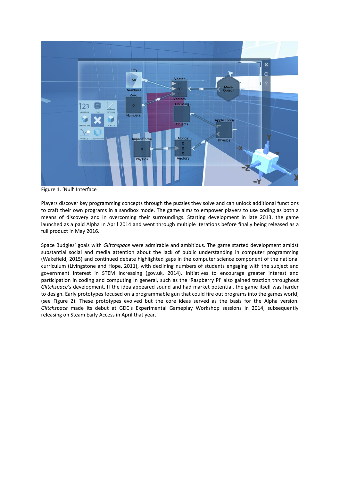

Figure 1. 'Null' Interface

Players discover key programming concepts through the puzzles they solve and can unlock additional functions to craft their own programs in a sandbox mode. The game aims to empower players to use coding as both a means of discovery and in overcoming their surroundings. Starting development in late 2013, the game launched as a paid Alpha in April 2014 and went through multiple iterations before finally being released as a full product in May 2016.

Space Budgies' goals with *Glitchspace* were admirable and ambitious. The game started development amidst substantial social and media attention about the lack of public understanding in computer programming (Wakefield, 2015) and continued debate highlighted gaps in the computer science component of the national curriculum (Livingstone and Hope, 2011), with declining numbers of students engaging with the subject and government interest in STEM increasing (gov.uk, 2014). Initiatives to encourage greater interest and participation in coding and computing in general, such as the 'Raspberry Pi' also gained traction throughout *Glitchspace's* development. If the idea appeared sound and had market potential, the game itself was harder to design. Early prototypes focused on a programmable gun that could fire out programs into the games world, (see Figure 2). These prototypes evolved but the core ideas served as the basis for the Alpha version. *Glitchspace* made its debut at GDC's Experimental Gameplay Workshop sessions in 2014, subsequently releasing on Steam Early Access in April that year.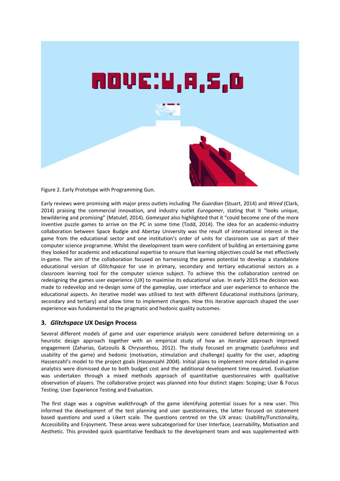

Figure 2. Early Prototype with Programming Gun.

Early reviews were promising with major press outlets including *The Guardian* (Stuart, 2014) and *Wired* (Clark, 2014) praising the commercial innovation, and industry outlet *Eurogamer*, stating that it "looks unique, bewildering and promising" (Matulef, 2014). *Gamespot* also highlighted that it "could become one of the more inventive puzzle games to arrive on the PC in some time (Todd, 2014). The idea for an academic-industry collaboration between Space Budgie and Abertay University was the result of international interest in the game from the educational sector and one institution's order of units for classroom use as part of their computer science programme. Whilst the development team were confident of building an entertaining game they looked for academic and educational expertise to ensure that learning objectives could be met effectively in-game. The aim of the collaboration focused on harnessing the games potential to develop a standalone educational version of *Glitchspace* for use in primary, secondary and tertiary educational sectors as a classroom learning tool for the computer science subject. To achieve this the collaboration centred on redesigning the games user experience (UX) to maximise its educational value. In early 2015 the decision was made to redevelop and re-design some of the gameplay, user interface and user experience to enhance the educational aspects. An iterative model was utilised to test with different Educational institutions (primary, secondary and tertiary) and allow time to implement changes. How this iterative approach shaped the user experience was fundamental to the pragmatic and hedonic quality outcomes.

#### **3.** *Glitchspace* **UX Design Process**

Several different models of game and user experience analysis were considered before determining on a heuristic design approach together with an empirical study of how an iterative approach improved engagement (Zaharias, Gatzoulis & Chrysanthou, 2012). The study focused on pragmatic (usefulness and usability of the game) and hedonic (motivation, stimulation and challenge) quality for the user, adapting Hassenzahl's model to the project goals (Hassenzahl 2004). Initial plans to implement more detailed in-game analytics were dismissed due to both budget cost and the additional development time required. Evaluation was undertaken through a mixed methods approach of quantitative questionnaires with qualitative observation of players. The collaborative project was planned into four distinct stages: Scoping; User & Focus Testing; User Experience Testing and Evaluation.

The first stage was a cognitive walkthrough of the game identifying potential issues for a new user. This informed the development of the test planning and user questionnaires, the latter focused on statement based questions and used a Likert scale. The questions centred on the UX areas: Usability/Functionality, Accessibility and Enjoyment. These areas were subcategorised for User Interface, Learnability, Motivation and Aesthetic. This provided quick quantitative feedback to the development team and was supplemented with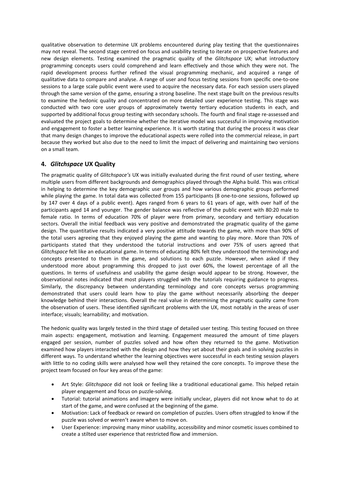qualitative observation to determine UX problems encountered during play testing that the questionnaires may not reveal. The second stage centred on focus and usability testing to iterate on prospective features and new design elements. Testing examined the pragmatic quality of the *Glitchspace* UX; what introductory programming concepts users could comprehend and learn effectively and those which they were not. The rapid development process further refined the visual programming mechanic, and acquired a range of qualitative data to compare and analyse. A range of user and focus testing sessions from specific one-to-one sessions to a large scale public event were used to acquire the necessary data. For each session users played through the same version of the game, ensuring a strong baseline. The next stage built on the previous results to examine the hedonic quality and concentrated on more detailed user experience testing. This stage was conducted with two core user groups of approximately twenty tertiary education students in each, and supported by additional focus group testing with secondary schools. The fourth and final stage re-assessed and evaluated the project goals to determine whether the iterative model was successful in improving motivation and engagement to foster a better learning experience. It is worth stating that during the process it was clear that many design changes to improve the educational aspects were rolled into the commercial release, in part because they worked but also due to the need to limit the impact of delivering and maintaining two versions on a small team.

## **4.** *Glitchspace* **UX Quality**

The pragmatic quality of *Glitchspace's* UX was initially evaluated during the first round of user testing, where multiple users from different backgrounds and demographics played through the Alpha build. This was critical in helping to determine the key demographic user groups and how various demographic groups performed while playing the game. In total data was collected from 155 participants (8 one-to-one sessions, followed up by 147 over 4 days of a public event). Ages ranged from 6 years to 61 years of age, with over half of the participants aged 14 and younger. The gender balance was reflective of the public event with 80:20 male to female ratio. In terms of education 70% of player were from primary, secondary and tertiary education sectors. Overall the initial feedback was very positive and demonstrated the pragmatic quality of the game design. The quantitative results indicated a very positive attitude towards the game, with more than 90% of the total users agreeing that they enjoyed playing the game and wanting to play more. More than 70% of participants stated that they understood the tutorial instructions and over 75% of users agreed that *Glitchspace* felt like an educational game. In terms of educating 80% felt they understood the terminology and concepts presented to them in the game, and solutions to each puzzle. However, when asked if they understood more about programming this dropped to just over 60%, the lowest percentage of all the questions. In terms of usefulness and usability the game design would appear to be strong. However, the observational notes indicated that most players struggled with the tutorials requiring guidance to progress. Similarly, the discrepancy between understanding terminology and core concepts versus programming demonstrated that users could learn how to play the game without necessarily absorbing the deeper knowledge behind their interactions. Overall the real value in determining the pragmatic quality came from the observation of users. These identified significant problems with the UX, most notably in the areas of user interface; visuals; learnability; and motivation.

The hedonic quality was largely tested in the third stage of detailed user testing. This testing focused on three main aspects: engagement, motivation and learning. Engagement measured the amount of time players engaged per session, number of puzzles solved and how often they returned to the game. Motivation examined how players interacted with the design and how they set about their goals and in solving puzzles in different ways. To understand whether the learning objectives were successful in each testing session players with little to no coding skills were analysed how well they retained the core concepts. To improve these the project team focused on four key areas of the game:

- Art Style: *Glitchspace* did not look or feeling like a traditional educational game. This helped retain player engagement and focus on puzzle-solving.
- Tutorial: tutorial animations and imagery were initially unclear, players did not know what to do at start of the game, and were confused at the beginning of the game.
- Motivation: Lack of feedback or reward on completion of puzzles. Users often struggled to know if the puzzle was solved or weren't aware when to move on.
- User Experience: improving many minor usability, accessibility and minor cosmetic issues combined to create a stilted user experience that restricted flow and immersion.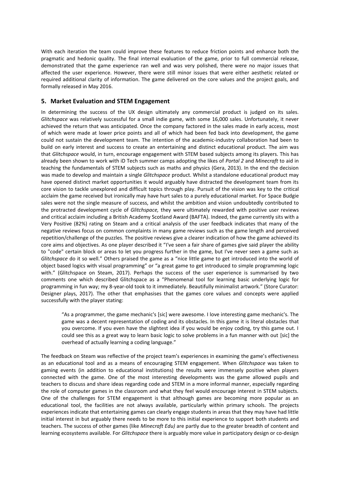With each iteration the team could improve these features to reduce friction points and enhance both the pragmatic and hedonic quality. The final internal evaluation of the game, prior to full commercial release, demonstrated that the game experience ran well and was very polished, there were no major issues that affected the user experience. However, there were still minor issues that were either aesthetic related or required additional clarity of information. The game delivered on the core values and the project goals, and formally released in May 2016.

#### **5. Market Evaluation and STEM Engagement**

In determining the success of the UX design ultimately any commercial product is judged on its sales. *Glitchspace* was relatively successful for a small indie game, with some 16,000 sales. Unfortunately, it never achieved the return that was anticipated. Once the company factored in the sales made in early access, most of which were made at lower price points and all of which had been fed back into development, the game could not sustain the development team. The intention of the academic-industry collaboration had been to build on early interest and success to create an entertaining and distinct educational product. The aim was that *Glitchspace* would, in turn, encourage engagement with STEM based subjects among its players. This has already been shown to work with iD Tech summer camps adopting the likes of *Portal 2* and *Minecraft* to aid in teaching the fundamentals of STEM subjects such as maths and physics (Gera, 2013). In the end the decision was made to develop and maintain a single *Glitchspace* product. Whilst a standalone educational product may have opened distinct market opportunities it would arguably have distracted the development team from its core vision to tackle unexplored and difficult topics through play. Pursuit of the vision was key to the critical acclaim the game received but ironically may have hurt sales to a purely educational market. For Space Budgie sales were not the single measure of success, and whilst the ambition and vision undoubtedly contributed to the protracted development cycle of *Glitchspace,* they were ultimately rewarded with positive user reviews and critical acclaim including a British Academy Scotland Award (BAFTA). Indeed, the game currently sits with a Very Positive (82%) rating on Steam and a critical analysis of the user feedback indicates that many of the negative reviews focus on common complaints in many game reviews such as the game length and perceived repetition/challenge of the puzzles. The positive reviews give a clearer indication of how the game achieved its core aims and objectives. As one player described it "I've seen a fair share of games give said player the ability to "code" certain block or areas to let you progress further in the game, but I've never seen a game such as *Glitchspace* do it so well." Others praised the game as a "nice little game to get introduced into the world of object based logics with visual programming" or "a great game to get introduced to simple programming logic with." (Glitchspace on Steam, 2017). Perhaps the success of the user experience is summarised by two comments one which described Glitchspace as a "Phenomenal tool for learning basic underlying logic for programming in fun way; my 8-year-old took to it immediately. Beautifully minimalist artwork." (Store Curator: Designer plays, 2017). The other that emphasises that the games core values and concepts were applied successfully with the player stating:

"As a programmer, the game mechanic's [sic] were awesome. I love interesting game mechanic's. The game was a decent representation of coding and its obstacles. In this game it is literal obstacles that you overcome. If you even have the slightest idea if you would be enjoy coding, try this game out. I could see this as a great way to learn basic logic to solve problems in a fun manner with out [sic] the overhead of actually learning a coding language."

The feedback on Steam was reflective of the project team's experiences in examining the game's effectiveness as an educational tool and as a means of encouraging STEM engagement. When *Glitchspace* was taken to gaming events (in addition to educational institutions) the results were immensely positive when players connected with the game. One of the most interesting developments was the game allowed pupils and teachers to discuss and share ideas regarding code and STEM in a more informal manner, especially regarding the role of computer games in the classroom and what they feel would encourage interest in STEM subjects. One of the challenges for STEM engagement is that although games are becoming more popular as an educational tool, the facilities are not always available, particularly within primary schools. The projects experiences indicate that entertaining games can clearly engage students in areas that they may have had little initial interest in but arguably there needs to be more to this initial experience to support both students and teachers. The success of other games (like *Minecraft Edu)* are partly due to the greater breadth of content and learning ecosystems available. For *Glitchspace* there is arguably more value in participatory design or co-design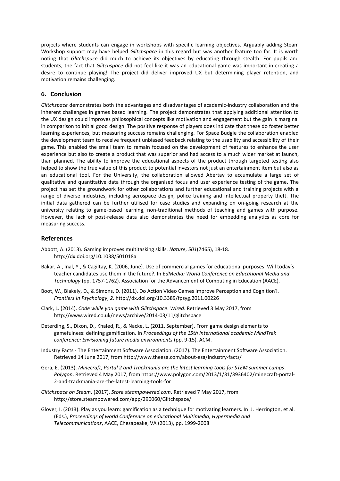projects where students can engage in workshops with specific learning objectives. Arguably adding Steam Workshop support may have helped *Glitchspace* in this regard but was another feature too far. It is worth noting that *Glitchspace* did much to achieve its objectives by educating through stealth. For pupils and students, the fact that *Glitchspace* did not feel like it was an educational game was important in creating a desire to continue playing! The project did deliver improved UX but determining player retention, and motivation remains challenging.

### **6. Conclusion**

*Glitchspace* demonstrates both the advantages and disadvantages of academic-industry collaboration and the inherent challenges in games based learning. The project demonstrates that applying additional attention to the UX design could improves philosophical concepts like motivation and engagement but the gain is marginal in comparison to initial good design. The positive response of players does indicate that these do foster better learning experiences, but measuring success remains challenging. For Space Budgie the collaboration enabled the development team to receive frequent unbiased feedback relating to the usability and accessibility of their game. This enabled the small team to remain focused on the development of features to enhance the user experience but also to create a product that was superior and had access to a much wider market at launch, than planned. The ability to improve the educational aspects of the product through targeted testing also helped to show the true value of this product to potential investors not just an entertainment item but also as an educational tool. For the University, the collaboration allowed Abertay to accumulate a large set of qualitative and quantitative data through the organised focus and user experience testing of the game. The project has set the groundwork for other collaborations and further educational and training projects with a range of diverse industries, including aerospace design, police training and intellectual property theft. The initial data gathered can be further utilised for case studies and expanding on on-going research at the university relating to game-based learning, non-traditional methods of teaching and games with purpose. However, the lack of post-release data also demonstrates the need for embedding analytics as core for measuring success.

#### **References**

- Abbott, A. (2013). Gaming improves multitasking skills. *Nature*, *501*(7465), 18-18. http://dx.doi.org/10.1038/501018a
- Bakar, A., Inal, Y., & Cagiltay, K. (2006, June). Use of commercial games for educational purposes: Will today's teacher candidates use them in the future?. In *EdMedia: World Conference on Educational Media and Technology* (pp. 1757-1762). Association for the Advancement of Computing in Education (AACE).
- Boot, W., Blakely, D., & Simons, D. (2011). Do Action Video Games Improve Perception and Cognition?. *Frontiers In Psychology*, *2*. http://dx.doi.org/10.3389/fpsyg.2011.00226
- Clark, L. (2014). *Code while you game with Glitchspace*. *Wired*. Retrieved 3 May 2017, from http://www.wired.co.uk/news/archive/2014-03/11/glitchspace
- Deterding, S., Dixon, D., Khaled, R., & Nacke, L. (2011, September). From game design elements to gamefulness: defining gamification. In *Proceedings of the 15th international academic MindTrek conference: Envisioning future media environments* (pp. 9-15). ACM.
- Industry Facts The Entertainment Software Association. (2017). The Entertainment Software Association. Retrieved 14 June 2017, from http://www.theesa.com/about-esa/industry-facts/
- Gera, E. (2013). *Minecraft, Portal 2 and Trackmania are the latest learning tools for STEM summer camps*. *Polygon*. Retrieved 4 May 2017, from https://www.polygon.com/2013/1/31/3936402/minecraft-portal-2-and-trackmania-are-the-latest-learning-tools-for
- *Glitchspace on Steam*. (2017). *Store.steampowered.com*. Retrieved 7 May 2017, from http://store.steampowered.com/app/290060/Glitchspace/
- Glover, I. (2013). Play as you learn: gamification as a technique for motivating learners. In J. Herrington, et al. (Eds.), *Proceedings of world Conference on educational Multimedia, Hypermedia and Telecommunications*, AACE, Chesapeake, VA (2013), pp. 1999-2008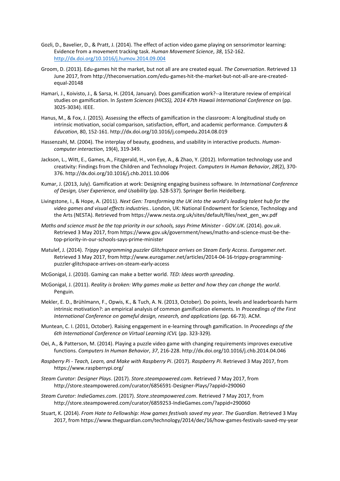- Gozli, D., Bavelier, D., & Pratt, J. (2014). The effect of action video game playing on sensorimotor learning: Evidence from a movement tracking task. *Human Movement Science*, *38*, 152-162. <http://dx.doi.org/10.1016/j.humov.2014.09.004>
- Groom, D. (2013). Edu-games hit the market, but not all are are created equal. *The Conversation*. Retrieved 13 June 2017, from http://theconversation.com/edu-games-hit-the-market-but-not-all-are-are-createdequal-20148
- Hamari, J., Koivisto, J., & Sarsa, H. (2014, January). Does gamification work?--a literature review of empirical studies on gamification. In *System Sciences (HICSS), 2014 47th Hawaii International Conference* on (pp. 3025-3034). IEEE.
- Hanus, M., & Fox, J. (2015). Assessing the effects of gamification in the classroom: A longitudinal study on intrinsic motivation, social comparison, satisfaction, effort, and academic performance*. Computers & Education*, 80, 152-161. http://dx.doi.org/10.1016/j.compedu.2014.08.019
- Hassenzahl, M. (2004). The interplay of beauty, goodness, and usability in interactive products. *Humancomputer interaction*, 19(4), 319-349.
- Jackson, L., Witt, E., Games, A., Fitzgerald, H., von Eye, A., & Zhao, Y. (2012). Information technology use and creativity: Findings from the Children and Technology Project. *Computers In Human Behavior*, *28*(2), 370- 376. http://dx.doi.org/10.1016/j.chb.2011.10.006
- Kumar, J. (2013, July). Gamification at work: Designing engaging business software. In *International Conference of Design, User Experience, and Usability* (pp. 528-537). Springer Berlin Heidelberg.
- Livingstone, I., & Hope, A. (2011). *Next Gen: Transforming the UK into the world's leading talent hub for the video games and visual effects industries.*. London, UK: National Endowment for Science, Technology and the Arts (NESTA). Retrieved from https://www.nesta.org.uk/sites/default/files/next\_gen\_wv.pdf
- *Maths and science must be the top priority in our schools, says Prime Minister - GOV.UK*. (2014). *gov.uk*. Retrieved 3 May 2017, from https://www.gov.uk/government/news/maths-and-science-must-be-thetop-priority-in-our-schools-says-prime-minister
- Matulef, J. (2014). *Trippy programming puzzler Glitchspace arrives on Steam Early Access*. *Eurogamer.net*. Retrieved 3 May 2017, from http://www.eurogamer.net/articles/2014-04-16-trippy-programmingpuzzler-glitchspace-arrives-on-steam-early-access
- McGonigal, J. (2010). Gaming can make a better world. *TED: Ideas worth spreading*.
- McGonigal, J. (2011). *Reality is broken: Why games make us better and how they can change the world*. Penguin.
- Mekler, E. D., Brühlmann, F., Opwis, K., & Tuch, A. N. (2013, October). Do points, levels and leaderboards harm intrinsic motivation?: an empirical analysis of common gamification elements. In *Proceedings of the First International Conference on gameful design, research, and applications* (pp. 66-73). ACM.
- Muntean, C. I. (2011, October). Raising engagement in e-learning through gamification. In *Proceedings of the 6th International Conference on Virtual Learning ICVL* (pp. 323-329).
- Oei, A., & Patterson, M. (2014). Playing a puzzle video game with changing requirements improves executive functions. *Computers In Human Behavior*, *37*, 216-228. http://dx.doi.org/10.1016/j.chb.2014.04.046
- *Raspberry Pi - Teach, Learn, and Make with Raspberry Pi*. (2017). *Raspberry Pi*. Retrieved 3 May 2017, from https://www.raspberrypi.org/
- *Steam Curator: Designer Plays*. (2017). *Store.steampowered.com*. Retrieved 7 May 2017, from http://store.steampowered.com/curator/6856591-Designer-Plays/?appid=290060
- *Steam Curator: IndieGames.com*. (2017). *Store.steampowered.com*. Retrieved 7 May 2017, from http://store.steampowered.com/curator/6859253-IndieGames.com/?appid=290060
- Stuart, K. (2014). *From Hate to Fellowship: How games festivals saved my year*. *The Guardian*. Retrieved 3 May 2017, from https://www.theguardian.com/technology/2014/dec/16/how-games-festivals-saved-my-year